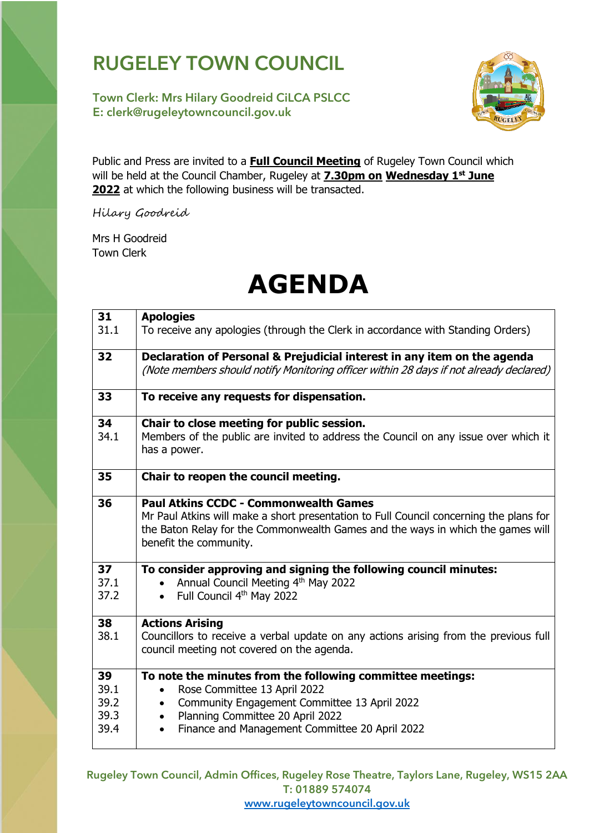## **RUGELEY TOWN COUNCIL**

**Town Clerk: Mrs Hilary Goodreid CiLCA PSLCC E: clerk@rugeleytowncouncil.gov.uk**



Public and Press are invited to a **Full Council Meeting** of Rugeley Town Council which will be held at the Council Chamber, Rugeley at **7.30pm on Wednesday 1 st June 2022** at which the following business will be transacted.

Hilary Goodreid

Mrs H Goodreid Town Clerk

## **AGENDA**

| 31<br>31.1                         | <b>Apologies</b><br>To receive any apologies (through the Clerk in accordance with Standing Orders)                                                                                                                                                                                  |
|------------------------------------|--------------------------------------------------------------------------------------------------------------------------------------------------------------------------------------------------------------------------------------------------------------------------------------|
| 32                                 | Declaration of Personal & Prejudicial interest in any item on the agenda<br>(Note members should notify Monitoring officer within 28 days if not already declared)                                                                                                                   |
| 33                                 | To receive any requests for dispensation.                                                                                                                                                                                                                                            |
| 34<br>34.1                         | Chair to close meeting for public session.<br>Members of the public are invited to address the Council on any issue over which it<br>has a power.                                                                                                                                    |
| 35                                 | Chair to reopen the council meeting.                                                                                                                                                                                                                                                 |
| 36                                 | <b>Paul Atkins CCDC - Commonwealth Games</b><br>Mr Paul Atkins will make a short presentation to Full Council concerning the plans for<br>the Baton Relay for the Commonwealth Games and the ways in which the games will<br>benefit the community.                                  |
| 37<br>37.1<br>37.2                 | To consider approving and signing the following council minutes:<br>Annual Council Meeting 4th May 2022<br>Full Council 4 <sup>th</sup> May 2022<br>$\bullet$                                                                                                                        |
| 38<br>38.1                         | <b>Actions Arising</b><br>Councillors to receive a verbal update on any actions arising from the previous full<br>council meeting not covered on the agenda.                                                                                                                         |
| 39<br>39.1<br>39.2<br>39.3<br>39.4 | To note the minutes from the following committee meetings:<br>Rose Committee 13 April 2022<br>$\bullet$<br>Community Engagement Committee 13 April 2022<br>$\bullet$<br>Planning Committee 20 April 2022<br>$\bullet$<br>Finance and Management Committee 20 April 2022<br>$\bullet$ |

Rugeley Town Council, Admin Offices, Rugeley Rose Theatre, Taylors Lane, Rugeley, WS15 2AA T: 01889 574074

[www.rugeleytowncouncil.gov.uk](http://www.rugeleytowncouncil.gov.uk/)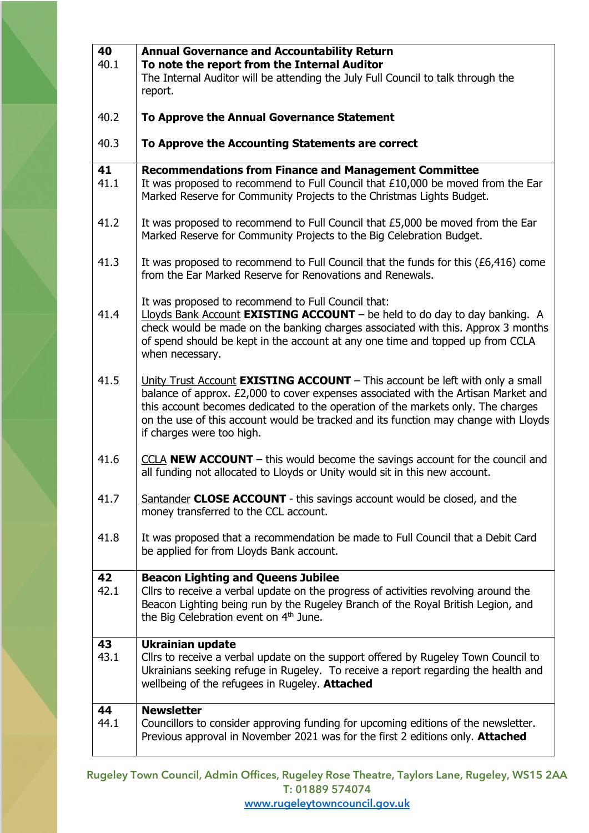| 40<br>40.1 | <b>Annual Governance and Accountability Return</b><br>To note the report from the Internal Auditor<br>The Internal Auditor will be attending the July Full Council to talk through the<br>report.                                                                                                                                                                                  |
|------------|------------------------------------------------------------------------------------------------------------------------------------------------------------------------------------------------------------------------------------------------------------------------------------------------------------------------------------------------------------------------------------|
| 40.2       | To Approve the Annual Governance Statement                                                                                                                                                                                                                                                                                                                                         |
| 40.3       | To Approve the Accounting Statements are correct                                                                                                                                                                                                                                                                                                                                   |
| 41<br>41.1 | <b>Recommendations from Finance and Management Committee</b><br>It was proposed to recommend to Full Council that £10,000 be moved from the Ear<br>Marked Reserve for Community Projects to the Christmas Lights Budget.                                                                                                                                                           |
| 41.2       | It was proposed to recommend to Full Council that £5,000 be moved from the Ear<br>Marked Reserve for Community Projects to the Big Celebration Budget.                                                                                                                                                                                                                             |
| 41.3       | It was proposed to recommend to Full Council that the funds for this (£6,416) come<br>from the Ear Marked Reserve for Renovations and Renewals.                                                                                                                                                                                                                                    |
| 41.4       | It was proposed to recommend to Full Council that:<br>Lloyds Bank Account <b>EXISTING ACCOUNT</b> $-$ be held to do day to day banking. A<br>check would be made on the banking charges associated with this. Approx 3 months<br>of spend should be kept in the account at any one time and topped up from CCLA<br>when necessary.                                                 |
| 41.5       | Unity Trust Account <b>EXISTING ACCOUNT</b> - This account be left with only a small<br>balance of approx. £2,000 to cover expenses associated with the Artisan Market and<br>this account becomes dedicated to the operation of the markets only. The charges<br>on the use of this account would be tracked and its function may change with Lloyds<br>if charges were too high. |
| 41.6       | $CCLA NEW ACCOUNT – this would become the savings account for the council and$<br>all funding not allocated to Lloyds or Unity would sit in this new account.                                                                                                                                                                                                                      |
| 41.7       | Santander CLOSE ACCOUNT - this savings account would be closed, and the<br>money transferred to the CCL account.                                                                                                                                                                                                                                                                   |
| 41.8       | It was proposed that a recommendation be made to Full Council that a Debit Card<br>be applied for from Lloyds Bank account.                                                                                                                                                                                                                                                        |
| 42<br>42.1 | <b>Beacon Lighting and Queens Jubilee</b><br>Cllrs to receive a verbal update on the progress of activities revolving around the<br>Beacon Lighting being run by the Rugeley Branch of the Royal British Legion, and<br>the Big Celebration event on 4 <sup>th</sup> June.                                                                                                         |
| 43<br>43.1 | <b>Ukrainian update</b><br>Cllrs to receive a verbal update on the support offered by Rugeley Town Council to<br>Ukrainians seeking refuge in Rugeley. To receive a report regarding the health and<br>wellbeing of the refugees in Rugeley. Attached                                                                                                                              |
| 44<br>44.1 | <b>Newsletter</b><br>Councillors to consider approving funding for upcoming editions of the newsletter.<br>Previous approval in November 2021 was for the first 2 editions only. Attached                                                                                                                                                                                          |

Rugeley Town Council, Admin Offices, Rugeley Rose Theatre, Taylors Lane, Rugeley, WS15 2AA T: 01889 574074

[www.rugeleytowncouncil.gov.uk](http://www.rugeleytowncouncil.gov.uk/)